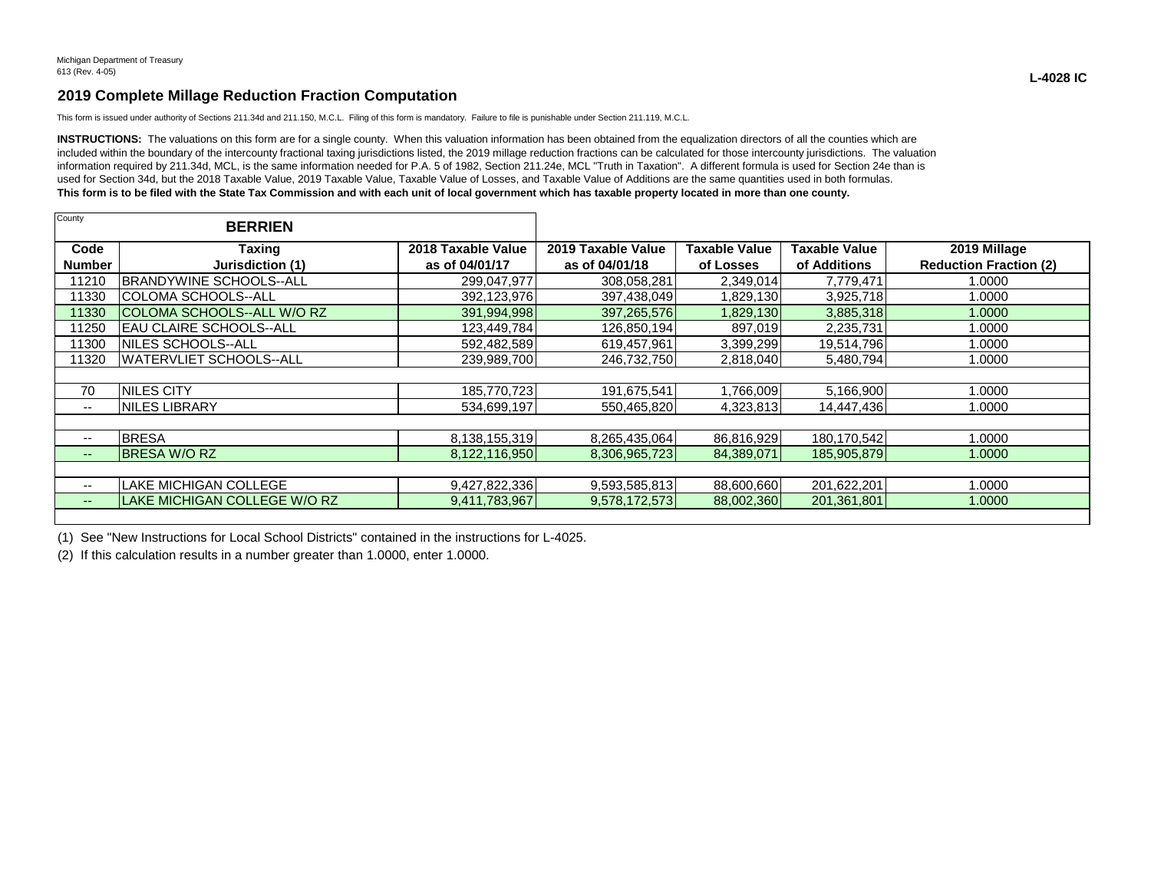## **2019 Complete Millage Reduction Fraction Computation**

This form is issued under authority of Sections 211.34d and 211.150, M.C.L. Filing of this form is mandatory. Failure to file is punishable under Section 211.119, M.C.L.

INSTRUCTIONS: The valuations on this form are for a single county. When this valuation information has been obtained from the equalization directors of all the counties which are included within the boundary of the intercounty fractional taxing jurisdictions listed, the 2019 millage reduction fractions can be calculated for those intercounty jurisdictions. The valuation information required by 211.34d, MCL, is the same information needed for P.A. 5 of 1982, Section 211.24e, MCL "Truth in Taxation". A different formula is used for Section 24e than is used for Section 34d, but the 2018 Taxable Value, 2019 Taxable Value, Taxable Value of Losses, and Taxable Value of Additions are the same quantities used in both formulas. **This form is to be filed with the State Tax Commission and with each unit of local government which has taxable property located in more than one county.**

| County                | <b>BERRIEN</b>                     |                                      |                                      |                            |                                      |                                               |
|-----------------------|------------------------------------|--------------------------------------|--------------------------------------|----------------------------|--------------------------------------|-----------------------------------------------|
| Code<br><b>Number</b> | Taxing<br>Jurisdiction (1)         | 2018 Taxable Value<br>as of 04/01/17 | 2019 Taxable Value<br>as of 04/01/18 | Taxable Value<br>of Losses | <b>Taxable Value</b><br>of Additions | 2019 Millage<br><b>Reduction Fraction (2)</b> |
| 11210                 | <b>IBRANDYWINE SCHOOLS--ALL</b>    | 299,047,977                          | 308,058,281                          | 2,349,014                  | 7,779,471                            | 1.0000                                        |
| 11330                 | COLOMA SCHOOLS--ALL                | 392,123,976                          | 397,438,049                          | 1,829,130                  | 3,925,718                            | 1.0000                                        |
| 11330                 | <b>ICOLOMA SCHOOLS--ALL W/O RZ</b> | 391,994,998                          | 397,265,576                          | 1,829,130                  | 3,885,318                            | 1.0000                                        |
| 11250                 | IEAU CLAIRE SCHOOLS--ALL           | 123,449,784                          | 126,850,194                          | 897,019                    | 2,235,731                            | 1.0000                                        |
| 11300                 | NILES SCHOOLS--ALL                 | 592,482,589                          | 619,457,961                          | 3,399,299                  | 19,514,796                           | 1.0000                                        |
| 11320                 | <b>WATERVLIET SCHOOLS--ALL</b>     | 239,989,700                          | 246,732,750                          | 2,818,040                  | 5,480,794                            | 1.0000                                        |
|                       |                                    |                                      |                                      |                            |                                      |                                               |
| 70                    | <b>INILES CITY</b>                 | 185,770,723                          | 191,675,541                          | 1,766,009                  | 5,166,900                            | 1.0000                                        |
| ۰.                    | <b>INILES LIBRARY</b>              | 534,699,197                          | 550,465,820                          | 4,323,813                  | 14,447,436                           | 1.0000                                        |
|                       |                                    |                                      |                                      |                            |                                      |                                               |
| $- -$                 | <b>BRESA</b>                       | 8,138,155,319                        | 8,265,435,064                        | 86,816,929                 | 180,170,542                          | 1.0000                                        |
| $--$                  | <b>BRESA W/O RZ</b>                | 8,122,116,950                        | 8,306,965,723                        | 84,389,071                 | 185,905,879                          | 1.0000                                        |
|                       |                                    |                                      |                                      |                            |                                      |                                               |
| ۰.                    | <b>LAKE MICHIGAN COLLEGE</b>       | 9,427,822,336                        | 9,593,585,813                        | 88,600,660                 | 201,622,201                          | 1.0000                                        |
| $- -$                 | LAKE MICHIGAN COLLEGE W/O RZ       | 9,411,783,967                        | 9,578,172,573                        | 88,002,360                 | 201,361,801                          | 1.0000                                        |
|                       |                                    |                                      |                                      |                            |                                      |                                               |

(1) See "New Instructions for Local School Districts" contained in the instructions for L-4025.

(2) If this calculation results in a number greater than 1.0000, enter 1.0000.